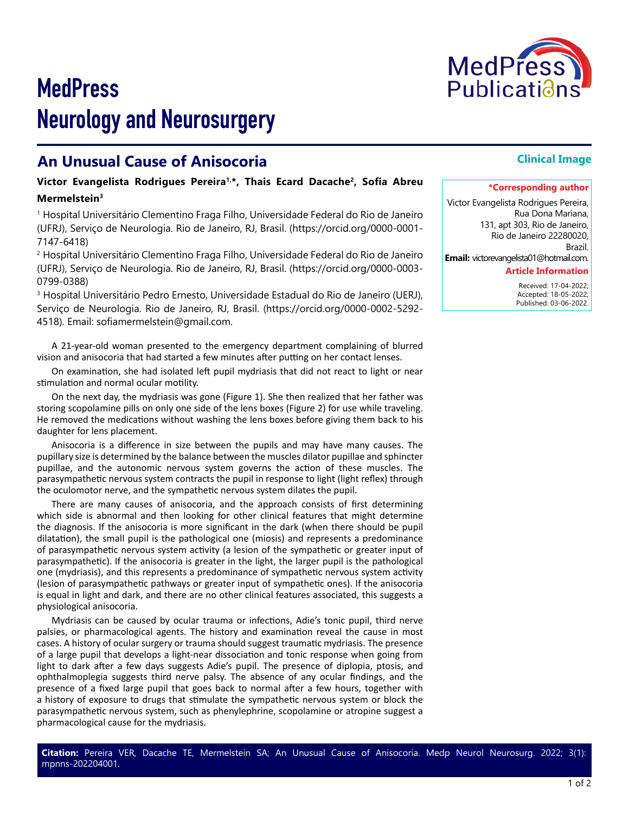

# **MedPress** Neurology and Neurosurgery

# **An Unusual Cause of Anisocoria**

### **Victor Evangelista Rodrigues Pereira1,\*, Thais Ecard Dacache2, Sofia Abreu Mermelstein3**

<sup>1</sup> Hospital Universitário Clementino Fraga Filho, Universidade Federal do Rio de Janeiro (UFRJ), Serviço de Neurologia. Rio de Janeiro, RJ, Brasil. (https://orcid.org/0000-0001- 7147-6418)

2 Hospital Universitário Clementino Fraga Filho, Universidade Federal do Rio de Janeiro (UFRJ), Serviço de Neurologia. Rio de Janeiro, RJ, Brasil. (https://orcid.org/0000-0003- 0799-0388)

3 Hospital Universitário Pedro Ernesto, Universidade Estadual do Rio de Janeiro (UERJ), Serviço de Neurologia. Rio de Janeiro, RJ, Brasil. (https://orcid.org/0000-0002-5292- 4518). Email: sofiamermelstein@gmail.com.

A 21-year-old woman presented to the emergency department complaining of blurred vision and anisocoria that had started a few minutes after putting on her contact lenses.

On examination, she had isolated left pupil mydriasis that did not react to light or near stimulation and normal ocular motility.

On the next day, the mydriasis was gone (Figure 1). She then realized that her father was storing scopolamine pills on only one side of the lens boxes (Figure 2) for use while traveling. He removed the medications without washing the lens boxes before giving them back to his daughter for lens placement.

Anisocoria is a difference in size between the pupils and may have many causes. The pupillary size is determined by the balance between the muscles dilator pupillae and sphincter pupillae, and the autonomic nervous system governs the action of these muscles. The parasympathetic nervous system contracts the pupil in response to light (light reflex) through the oculomotor nerve, and the sympathetic nervous system dilates the pupil.

There are many causes of anisocoria, and the approach consists of first determining which side is abnormal and then looking for other clinical features that might determine the diagnosis. If the anisocoria is more significant in the dark (when there should be pupil dilatation), the small pupil is the pathological one (miosis) and represents a predominance of parasympathetic nervous system activity (a lesion of the sympathetic or greater input of parasympathetic). If the anisocoria is greater in the light, the larger pupil is the pathological one (mydriasis), and this represents a predominance of sympathetic nervous system activity (lesion of parasympathetic pathways or greater input of sympathetic ones). If the anisocoria is equal in light and dark, and there are no other clinical features associated, this suggests a physiological anisocoria.

Mydriasis can be caused by ocular trauma or infections, Adie's tonic pupil, third nerve palsies, or pharmacological agents. The history and examination reveal the cause in most cases. A history of ocular surgery or trauma should suggest traumatic mydriasis. The presence of a large pupil that develops a light-near dissociation and tonic response when going from light to dark after a few days suggests Adie's pupil. The presence of diplopia, ptosis, and ophthalmoplegia suggests third nerve palsy. The absence of any ocular findings, and the presence of a fixed large pupil that goes back to normal after a few hours, together with a history of exposure to drugs that stimulate the sympathetic nervous system or block the parasympathetic nervous system, such as phenylephrine, scopolamine or atropine suggest a pharmacological cause for the mydriasis.

## **Clinical Image**

#### **\*Corresponding author**

Victor Evangelista Rodrigues Pereira, Rua Dona Mariana, 131, apt 303, Rio de Janeiro, Rio de Janeiro 22280020, Brazil.

**Email:** victorevangelista01@hotmail.com.

#### **Article Information**

 Received: 17-04-2022; Accepted: 18-05-2022; Published: 03-06-2022.